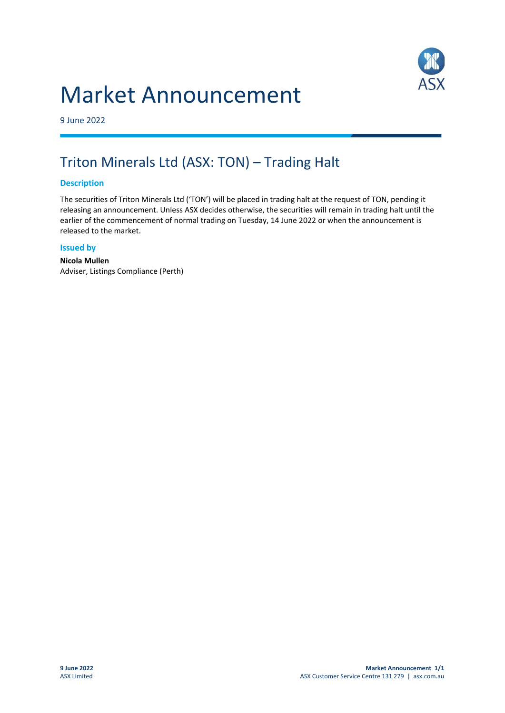# Market Announcement



9 June 2022

### Triton Minerals Ltd (ASX: TON) – Trading Halt

#### **Description**

The securities of Triton Minerals Ltd ('TON') will be placed in trading halt at the request of TON, pending it releasing an announcement. Unless ASX decides otherwise, the securities will remain in trading halt until the earlier of the commencement of normal trading on Tuesday, 14 June 2022 or when the announcement is released to the market.

#### **Issued by**

**Nicola Mullen** Adviser, Listings Compliance (Perth)